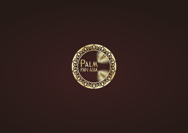